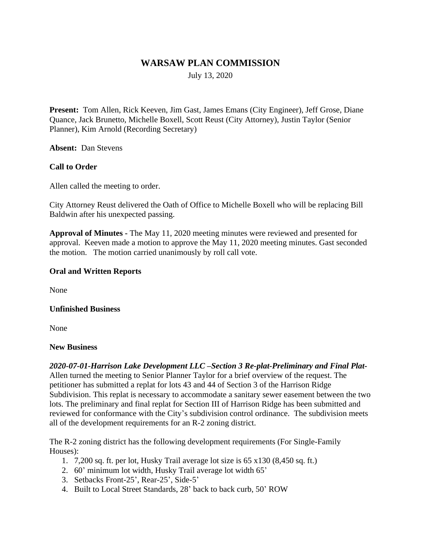# **WARSAW PLAN COMMISSION**

July 13, 2020

**Present:** Tom Allen, Rick Keeven, Jim Gast, James Emans (City Engineer), Jeff Grose, Diane Quance, Jack Brunetto, Michelle Boxell, Scott Reust (City Attorney), Justin Taylor (Senior Planner), Kim Arnold (Recording Secretary)

**Absent:** Dan Stevens

## **Call to Order**

Allen called the meeting to order.

City Attorney Reust delivered the Oath of Office to Michelle Boxell who will be replacing Bill Baldwin after his unexpected passing.

**Approval of Minutes -** The May 11, 2020 meeting minutes were reviewed and presented for approval. Keeven made a motion to approve the May 11, 2020 meeting minutes. Gast seconded the motion. The motion carried unanimously by roll call vote.

## **Oral and Written Reports**

None

#### **Unfinished Business**

None

#### **New Business**

*2020-07-01-Harrison Lake Development LLC –Section 3 Re-plat-Preliminary and Final Plat-*Allen turned the meeting to Senior Planner Taylor for a brief overview of the request. The petitioner has submitted a replat for lots 43 and 44 of Section 3 of the Harrison Ridge Subdivision. This replat is necessary to accommodate a sanitary sewer easement between the two lots. The preliminary and final replat for Section III of Harrison Ridge has been submitted and reviewed for conformance with the City's subdivision control ordinance. The subdivision meets all of the development requirements for an R-2 zoning district.

The R-2 zoning district has the following development requirements (For Single-Family Houses):

- 1. 7,200 sq. ft. per lot, Husky Trail average lot size is 65 x130 (8,450 sq. ft.)
- 2. 60' minimum lot width, Husky Trail average lot width 65'
- 3. Setbacks Front-25', Rear-25', Side-5'
- 4. Built to Local Street Standards, 28' back to back curb, 50' ROW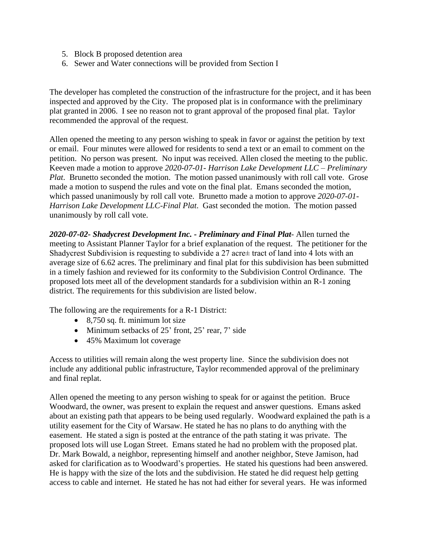- 5. Block B proposed detention area
- 6. Sewer and Water connections will be provided from Section I

The developer has completed the construction of the infrastructure for the project, and it has been inspected and approved by the City. The proposed plat is in conformance with the preliminary plat granted in 2006. I see no reason not to grant approval of the proposed final plat. Taylor recommended the approval of the request.

Allen opened the meeting to any person wishing to speak in favor or against the petition by text or email. Four minutes were allowed for residents to send a text or an email to comment on the petition. No person was present. No input was received. Allen closed the meeting to the public. Keeven made a motion to approve *2020-07-01- Harrison Lake Development LLC – Preliminary Plat*. Brunetto seconded the motion. The motion passed unanimously with roll call vote. Grose made a motion to suspend the rules and vote on the final plat. Emans seconded the motion, which passed unanimously by roll call vote. Brunetto made a motion to approve *2020-07-01- Harrison Lake Development LLC-Final Plat*. Gast seconded the motion. The motion passed unanimously by roll call vote.

*2020-07-02- Shadycrest Development Inc. - Preliminary and Final Plat*- Allen turned the meeting to Assistant Planner Taylor for a brief explanation of the request. The petitioner for the Shadycrest Subdivision is requesting to subdivide a 27 acre± tract of land into 4 lots with an average size of 6.62 acres. The preliminary and final plat for this subdivision has been submitted in a timely fashion and reviewed for its conformity to the Subdivision Control Ordinance. The proposed lots meet all of the development standards for a subdivision within an R-1 zoning district. The requirements for this subdivision are listed below.

The following are the requirements for a R-1 District:

- $\bullet$  8,750 sq. ft. minimum lot size
- $\bullet$  Minimum setbacks of 25' front, 25' rear, 7' side
- 45% Maximum lot coverage

Access to utilities will remain along the west property line. Since the subdivision does not include any additional public infrastructure, Taylor recommended approval of the preliminary and final replat.

Allen opened the meeting to any person wishing to speak for or against the petition. Bruce Woodward, the owner, was present to explain the request and answer questions. Emans asked about an existing path that appears to be being used regularly. Woodward explained the path is a utility easement for the City of Warsaw. He stated he has no plans to do anything with the easement. He stated a sign is posted at the entrance of the path stating it was private. The proposed lots will use Logan Street. Emans stated he had no problem with the proposed plat. Dr. Mark Bowald, a neighbor, representing himself and another neighbor, Steve Jamison, had asked for clarification as to Woodward's properties. He stated his questions had been answered. He is happy with the size of the lots and the subdivision. He stated he did request help getting access to cable and internet. He stated he has not had either for several years. He was informed